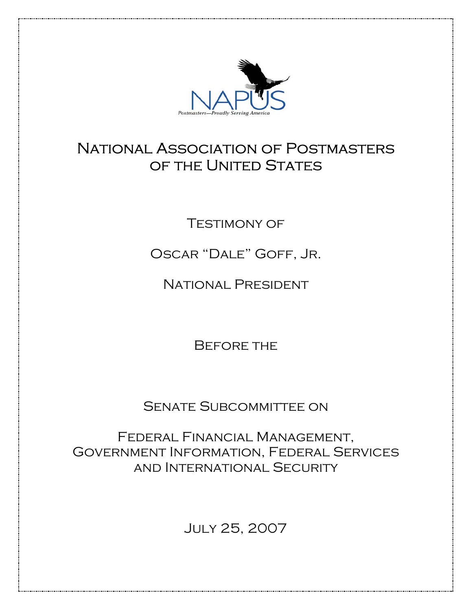

## National Association of Postmasters OF THE UNITED STATES

**TESTIMONY OF** 

Oscar "Dale" Goff, Jr.

National President

Before the

Senate Subcommittee on

Federal Financial Management, Government Information, Federal Services and International Security

July 25, 2007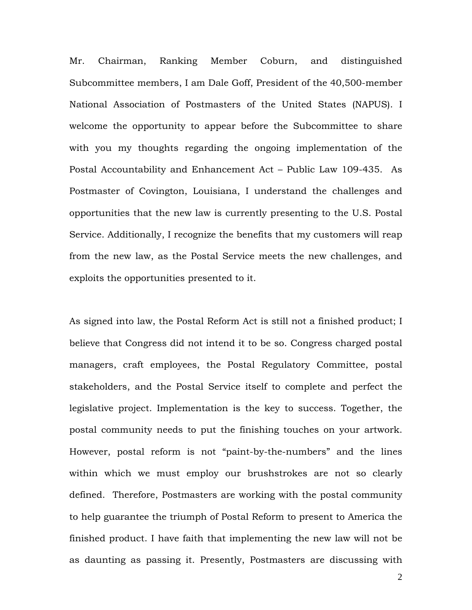Mr. Chairman, Ranking Member Coburn, and distinguished Subcommittee members, I am Dale Goff, President of the 40,500-member National Association of Postmasters of the United States (NAPUS). I welcome the opportunity to appear before the Subcommittee to share with you my thoughts regarding the ongoing implementation of the Postal Accountability and Enhancement Act – Public Law 109-435. As Postmaster of Covington, Louisiana, I understand the challenges and opportunities that the new law is currently presenting to the U.S. Postal Service. Additionally, I recognize the benefits that my customers will reap from the new law, as the Postal Service meets the new challenges, and exploits the opportunities presented to it.

As signed into law, the Postal Reform Act is still not a finished product; I believe that Congress did not intend it to be so. Congress charged postal managers, craft employees, the Postal Regulatory Committee, postal stakeholders, and the Postal Service itself to complete and perfect the legislative project. Implementation is the key to success. Together, the postal community needs to put the finishing touches on your artwork. However, postal reform is not "paint-by-the-numbers" and the lines within which we must employ our brushstrokes are not so clearly defined. Therefore, Postmasters are working with the postal community to help guarantee the triumph of Postal Reform to present to America the finished product. I have faith that implementing the new law will not be as daunting as passing it. Presently, Postmasters are discussing with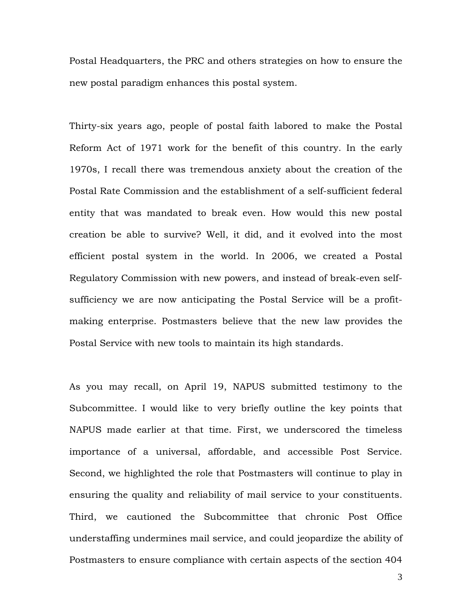Postal Headquarters, the PRC and others strategies on how to ensure the new postal paradigm enhances this postal system.

Thirty-six years ago, people of postal faith labored to make the Postal Reform Act of 1971 work for the benefit of this country. In the early 1970s, I recall there was tremendous anxiety about the creation of the Postal Rate Commission and the establishment of a self-sufficient federal entity that was mandated to break even. How would this new postal creation be able to survive? Well, it did, and it evolved into the most efficient postal system in the world. In 2006, we created a Postal Regulatory Commission with new powers, and instead of break-even selfsufficiency we are now anticipating the Postal Service will be a profitmaking enterprise. Postmasters believe that the new law provides the Postal Service with new tools to maintain its high standards.

As you may recall, on April 19, NAPUS submitted testimony to the Subcommittee. I would like to very briefly outline the key points that NAPUS made earlier at that time. First, we underscored the timeless importance of a universal, affordable, and accessible Post Service. Second, we highlighted the role that Postmasters will continue to play in ensuring the quality and reliability of mail service to your constituents. Third, we cautioned the Subcommittee that chronic Post Office understaffing undermines mail service, and could jeopardize the ability of Postmasters to ensure compliance with certain aspects of the section 404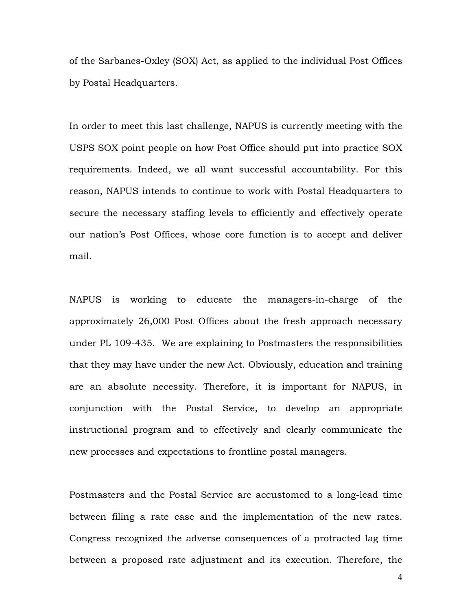of the Sarbanes-Oxley (SOX) Act, as applied to the individual Post Offices by Postal Headquarters.

In order to meet this last challenge, NAPUS is currently meeting with the USPS SOX point people on how Post Office should put into practice SOX requirements. Indeed, we all want successful accountability. For this reason, NAPUS intends to continue to work with Postal Headquarters to secure the necessary staffing levels to efficiently and effectively operate our nation's Post Offices, whose core function is to accept and deliver mail.

NAPUS is working to educate the managers-in-charge of the approximately 26,000 Post Offices about the fresh approach necessary under PL 109-435. We are explaining to Postmasters the responsibilities that they may have under the new Act. Obviously, education and training are an absolute necessity. Therefore, it is important for NAPUS, in conjunction with the Postal Service, to develop an appropriate instructional program and to effectively and clearly communicate the new processes and expectations to frontline postal managers.

Postmasters and the Postal Service are accustomed to a long-lead time between filing a rate case and the implementation of the new rates. Congress recognized the adverse consequences of a protracted lag time between a proposed rate adjustment and its execution. Therefore, the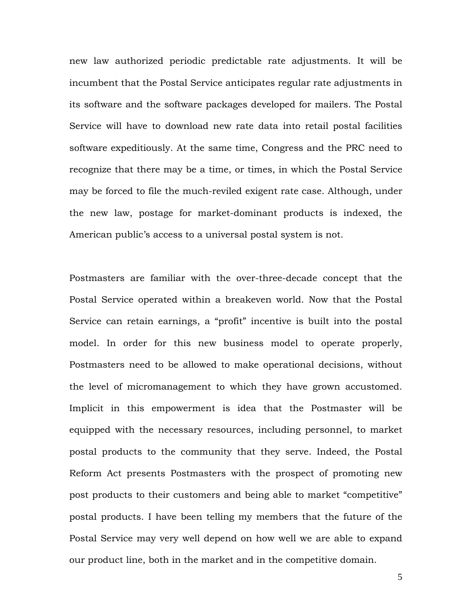new law authorized periodic predictable rate adjustments. It will be incumbent that the Postal Service anticipates regular rate adjustments in its software and the software packages developed for mailers. The Postal Service will have to download new rate data into retail postal facilities software expeditiously. At the same time, Congress and the PRC need to recognize that there may be a time, or times, in which the Postal Service may be forced to file the much-reviled exigent rate case. Although, under the new law, postage for market-dominant products is indexed, the American public's access to a universal postal system is not.

Postmasters are familiar with the over-three-decade concept that the Postal Service operated within a breakeven world. Now that the Postal Service can retain earnings, a "profit" incentive is built into the postal model. In order for this new business model to operate properly, Postmasters need to be allowed to make operational decisions, without the level of micromanagement to which they have grown accustomed. Implicit in this empowerment is idea that the Postmaster will be equipped with the necessary resources, including personnel, to market postal products to the community that they serve. Indeed, the Postal Reform Act presents Postmasters with the prospect of promoting new post products to their customers and being able to market "competitive" postal products. I have been telling my members that the future of the Postal Service may very well depend on how well we are able to expand our product line, both in the market and in the competitive domain.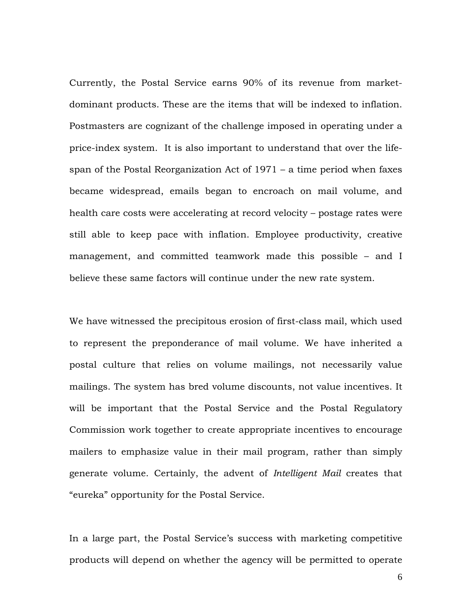Currently, the Postal Service earns 90% of its revenue from marketdominant products. These are the items that will be indexed to inflation. Postmasters are cognizant of the challenge imposed in operating under a price-index system. It is also important to understand that over the lifespan of the Postal Reorganization Act of 1971 – a time period when faxes became widespread, emails began to encroach on mail volume, and health care costs were accelerating at record velocity – postage rates were still able to keep pace with inflation. Employee productivity, creative management, and committed teamwork made this possible – and I believe these same factors will continue under the new rate system.

We have witnessed the precipitous erosion of first-class mail, which used to represent the preponderance of mail volume. We have inherited a postal culture that relies on volume mailings, not necessarily value mailings. The system has bred volume discounts, not value incentives. It will be important that the Postal Service and the Postal Regulatory Commission work together to create appropriate incentives to encourage mailers to emphasize value in their mail program, rather than simply generate volume. Certainly, the advent of *Intelligent Mail* creates that "eureka" opportunity for the Postal Service.

In a large part, the Postal Service's success with marketing competitive products will depend on whether the agency will be permitted to operate